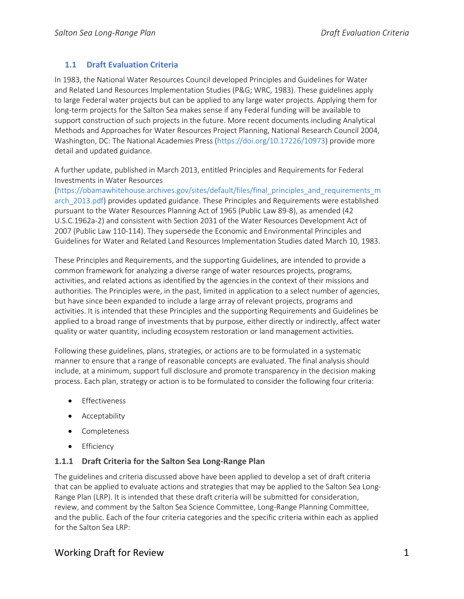### **1.1 Draft Evaluation Criteria**

In 1983, the National Water Resources Council developed Principles and Guidelines for Water and Related Land Resources Implementation Studies (P&G; WRC, 1983). These guidelines apply to large Federal water projects but can be applied to any large water projects. Applying them for long-term projects for the Salton Sea makes sense if any Federal funding will be available to support construction of such projects in the future. More recent documents including Analytical Methods and Approaches for Water Resources Project Planning, National Research Council 2004, Washington, DC: The National Academies Press [\(https://doi.org/10.17226/10973\)](https://doi.org/10.17226/10973) provide more detail and updated guidance.

A further update, published in March 2013, entitled Principles and Requirements for Federal Investments in Water Resources

[\(https://obamawhitehouse.archives.gov/sites/default/files/final\\_principles\\_and\\_requirements\\_m](https://obamawhitehouse.archives.gov/sites/default/files/final_principles_and_requirements_march_2013.pdf) arch 2013.pdf) provides updated guidance. These Principles and Requirements were established pursuant to the Water Resources Planning Act of 1965 (Public Law 89-8), as amended (42 U.S.C.1962a-2) and consistent with Section 2031 of the Water Resources Development Act of 2007 (Public Law 110-114). They supersede the Economic and Environmental Principles and Guidelines for Water and Related Land Resources Implementation Studies dated March 10, 1983.

These Principles and Requirements, and the supporting Guidelines, are intended to provide a common framework for analyzing a diverse range of water resources projects, programs, activities, and related actions as identified by the agencies in the context of their missions and authorities. The Principles were, in the past, limited in application to a select number of agencies, but have since been expanded to include a large array of relevant projects, programs and activities. It is intended that these Principles and the supporting Requirements and Guidelines be applied to a broad range of investments that by purpose, either directly or indirectly, affect water quality or water quantity, including ecosystem restoration or land management activities.

Following these guidelines, plans, strategies, or actions are to be formulated in a systematic manner to ensure that a range of reasonable concepts are evaluated. The final analysis should include, at a minimum, support full disclosure and promote transparency in the decision making process. Each plan, strategy or action is to be formulated to consider the following four criteria:

- Effectiveness
- Acceptability
- Completeness
- Efficiency

#### **1.1.1 Draft Criteria for the Salton Sea Long-Range Plan**

The guidelines and criteria discussed above have been applied to develop a set of draft criteria that can be applied to evaluate actions and strategies that may be applied to the Salton Sea Long-Range Plan (LRP). It is intended that these draft criteria will be submitted for consideration, review, and comment by the Salton Sea Science Committee, Long-Range Planning Committee, and the public. Each of the four criteria categories and the specific criteria within each as applied for the Salton Sea LRP:

## Working Draft for Review 1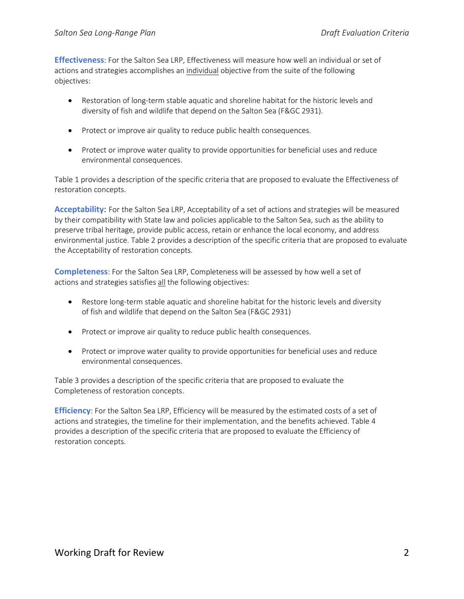**Effectiveness**: For the Salton Sea LRP, Effectiveness will measure how well an individual or set of actions and strategies accomplishes an individual objective from the suite of the following objectives:

- Restoration of long-term stable aquatic and shoreline habitat for the historic levels and diversity of fish and wildlife that depend on the Salton Sea (F&GC 2931).
- Protect or improve air quality to reduce public health consequences.
- Protect or improve water quality to provide opportunities for beneficial uses and reduce environmental consequences.

[Table 1](#page-1-0) provides a description of the specific criteria that are proposed to evaluate the Effectiveness of restoration concepts.

**Acceptability**: For the Salton Sea LRP, Acceptability of a set of actions and strategies will be measured by their compatibility with State law and policies applicable to the Salton Sea, such as the ability to preserve tribal heritage, provide public access, retain or enhance the local economy, and address environmental justice. [Table 2](#page-2-0) provides a description of the specific criteria that are proposed to evaluate the Acceptability of restoration concepts.

**Completeness**: For the Salton Sea LRP, Completeness will be assessed by how well a set of actions and strategies satisfies all the following objectives:

- Restore long-term stable aquatic and shoreline habitat for the historic levels and diversity of fish and wildlife that depend on the Salton Sea (F&GC 2931)
- Protect or improve air quality to reduce public health consequences.
- Protect or improve water quality to provide opportunities for beneficial uses and reduce environmental consequences.

[Table 3](#page-3-0) provides a description of the specific criteria that are proposed to evaluate the Completeness of restoration concepts.

<span id="page-1-0"></span>**Efficiency**: For the Salton Sea LRP, Efficiency will be measured by the estimated costs of a set of actions and strategies, the timeline for their implementation, and the benefits achieved[. Table 4](#page-3-1) provides a description of the specific criteria that are proposed to evaluate the Efficiency of restoration concepts.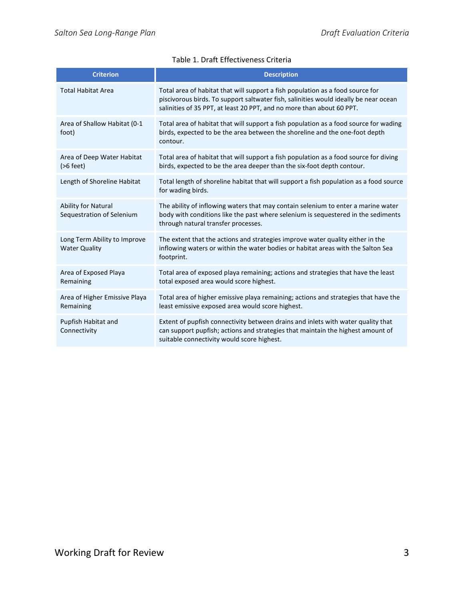<span id="page-2-0"></span>

| <b>Criterion</b>                                     | <b>Description</b>                                                                                                                                                                                                                              |
|------------------------------------------------------|-------------------------------------------------------------------------------------------------------------------------------------------------------------------------------------------------------------------------------------------------|
| <b>Total Habitat Area</b>                            | Total area of habitat that will support a fish population as a food source for<br>piscivorous birds. To support saltwater fish, salinities would ideally be near ocean<br>salinities of 35 PPT, at least 20 PPT, and no more than about 60 PPT. |
| Area of Shallow Habitat (0-1<br>foot)                | Total area of habitat that will support a fish population as a food source for wading<br>birds, expected to be the area between the shoreline and the one-foot depth<br>contour.                                                                |
| Area of Deep Water Habitat<br>$(>6$ feet)            | Total area of habitat that will support a fish population as a food source for diving<br>birds, expected to be the area deeper than the six-foot depth contour.                                                                                 |
| Length of Shoreline Habitat                          | Total length of shoreline habitat that will support a fish population as a food source<br>for wading birds.                                                                                                                                     |
| Ability for Natural<br>Sequestration of Selenium     | The ability of inflowing waters that may contain selenium to enter a marine water<br>body with conditions like the past where selenium is sequestered in the sediments<br>through natural transfer processes.                                   |
| Long Term Ability to Improve<br><b>Water Quality</b> | The extent that the actions and strategies improve water quality either in the<br>inflowing waters or within the water bodies or habitat areas with the Salton Sea<br>footprint.                                                                |
| Area of Exposed Playa<br>Remaining                   | Total area of exposed playa remaining; actions and strategies that have the least<br>total exposed area would score highest.                                                                                                                    |
| Area of Higher Emissive Playa<br>Remaining           | Total area of higher emissive playa remaining; actions and strategies that have the<br>least emissive exposed area would score highest.                                                                                                         |
| Pupfish Habitat and<br>Connectivity                  | Extent of pupfish connectivity between drains and inlets with water quality that<br>can support pupfish; actions and strategies that maintain the highest amount of<br>suitable connectivity would score highest.                               |

#### Table 1. Draft Effectiveness Criteria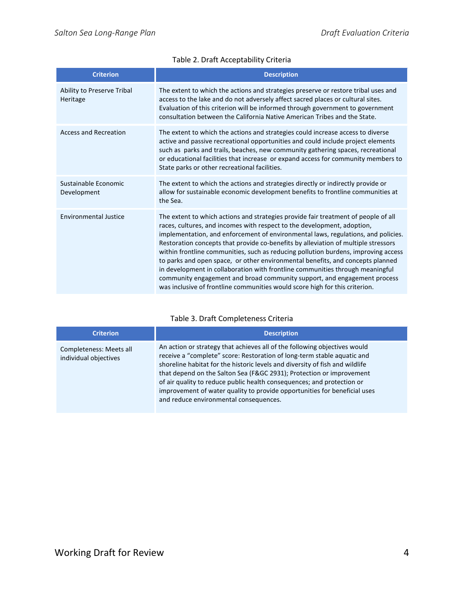### Table 2. Draft Acceptability Criteria

| <b>Criterion</b>                       | <b>Description</b>                                                                                                                                                                                                                                                                                                                                                                                                                                                                                                                                                                                                                                                                                                                                           |
|----------------------------------------|--------------------------------------------------------------------------------------------------------------------------------------------------------------------------------------------------------------------------------------------------------------------------------------------------------------------------------------------------------------------------------------------------------------------------------------------------------------------------------------------------------------------------------------------------------------------------------------------------------------------------------------------------------------------------------------------------------------------------------------------------------------|
| Ability to Preserve Tribal<br>Heritage | The extent to which the actions and strategies preserve or restore tribal uses and<br>access to the lake and do not adversely affect sacred places or cultural sites.<br>Evaluation of this criterion will be informed through government to government<br>consultation between the California Native American Tribes and the State.                                                                                                                                                                                                                                                                                                                                                                                                                         |
| <b>Access and Recreation</b>           | The extent to which the actions and strategies could increase access to diverse<br>active and passive recreational opportunities and could include project elements<br>such as parks and trails, beaches, new community gathering spaces, recreational<br>or educational facilities that increase or expand access for community members to<br>State parks or other recreational facilities.                                                                                                                                                                                                                                                                                                                                                                 |
| Sustainable Economic<br>Development    | The extent to which the actions and strategies directly or indirectly provide or<br>allow for sustainable economic development benefits to frontline communities at<br>the Sea.                                                                                                                                                                                                                                                                                                                                                                                                                                                                                                                                                                              |
| <b>Environmental Justice</b>           | The extent to which actions and strategies provide fair treatment of people of all<br>races, cultures, and incomes with respect to the development, adoption,<br>implementation, and enforcement of environmental laws, regulations, and policies.<br>Restoration concepts that provide co-benefits by alleviation of multiple stressors<br>within frontline communities, such as reducing pollution burdens, improving access<br>to parks and open space, or other environmental benefits, and concepts planned<br>in development in collaboration with frontline communities through meaningful<br>community engagement and broad community support, and engagement process<br>was inclusive of frontline communities would score high for this criterion. |

### Table 3. Draft Completeness Criteria

<span id="page-3-1"></span><span id="page-3-0"></span>

| <b>Criterion</b>                                 | <b>Description</b>                                                                                                                                                                                                                                                                                                                                                                                                                                                                                            |
|--------------------------------------------------|---------------------------------------------------------------------------------------------------------------------------------------------------------------------------------------------------------------------------------------------------------------------------------------------------------------------------------------------------------------------------------------------------------------------------------------------------------------------------------------------------------------|
| Completeness: Meets all<br>individual objectives | An action or strategy that achieves all of the following objectives would<br>receive a "complete" score: Restoration of long-term stable aquatic and<br>shoreline habitat for the historic levels and diversity of fish and wildlife<br>that depend on the Salton Sea (F&GC 2931); Protection or improvement<br>of air quality to reduce public health consequences; and protection or<br>improvement of water quality to provide opportunities for beneficial uses<br>and reduce environmental consequences. |